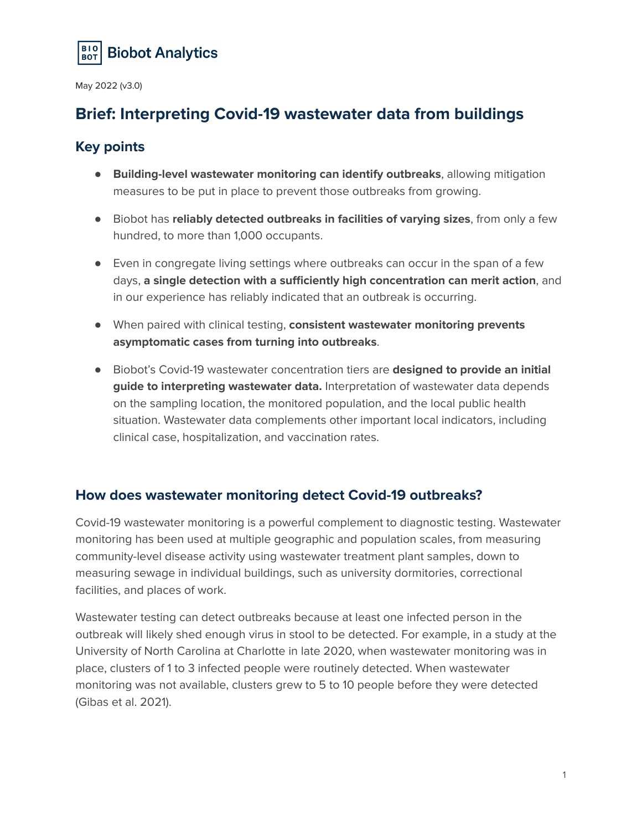

# **Brief: Interpreting Covid-19 wastewater data from buildings**

# **Key points**

- **Building-level wastewater monitoring can identify outbreaks**, allowing mitigation measures to be put in place to prevent those outbreaks from growing.
- Biobot has **reliably detected outbreaks in facilities of varying sizes**, from only a few hundred, to more than 1,000 occupants.
- Even in congregate living settings where outbreaks can occur in the span of a few days, **a single detection with a sufficiently high concentration can merit action**, and in our experience has reliably indicated that an outbreak is occurring.
- When paired with clinical testing, **consistent wastewater monitoring prevents asymptomatic cases from turning into outbreaks**.
- Biobot's Covid-19 wastewater concentration tiers are **designed to provide an initial guide to interpreting wastewater data.** Interpretation of wastewater data depends on the sampling location, the monitored population, and the local public health situation. Wastewater data complements other important local indicators, including clinical case, hospitalization, and vaccination rates.

# **How does wastewater monitoring detect Covid-19 outbreaks?**

Covid-19 wastewater monitoring is a powerful complement to diagnostic testing. Wastewater monitoring has been used at multiple geographic and population scales, from measuring community-level disease activity using wastewater treatment plant samples, down to measuring sewage in individual buildings, such as university dormitories, correctional facilities, and places of work.

Wastewater testing can detect outbreaks because at least one infected person in the outbreak will likely shed enough virus in stool to be detected. For example, in a study at the University of North Carolina at Charlotte in late 2020, when wastewater monitoring was in place, clusters of 1 to 3 infected people were routinely detected. When wastewater monitoring was not available, clusters grew to 5 to 10 people before they were detected (Gibas et al. 2021).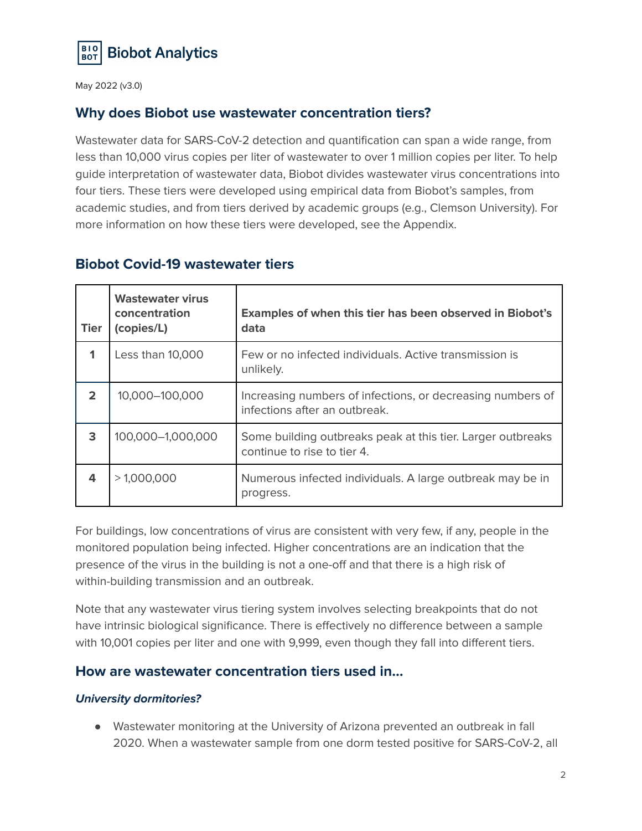

# **Why does Biobot use wastewater concentration tiers?**

Wastewater data for SARS-CoV-2 detection and quantification can span a wide range, from less than 10,000 virus copies per liter of wastewater to over 1 million copies per liter. To help guide interpretation of wastewater data, Biobot divides wastewater virus concentrations into four tiers. These tiers were developed using empirical data from Biobot's samples, from academic studies, and from tiers derived by academic groups (e.g., Clemson University). For more information on how these tiers were developed, see the Appendix.

| <b>Tier</b>    | <b>Wastewater virus</b><br>concentration<br>(copies/L) | <b>Examples of when this tier has been observed in Biobot's</b><br>data                     |  |
|----------------|--------------------------------------------------------|---------------------------------------------------------------------------------------------|--|
| 1              | Less than 10,000                                       | Few or no infected individuals. Active transmission is<br>unlikely.                         |  |
| $\overline{2}$ | 10,000-100,000                                         | Increasing numbers of infections, or decreasing numbers of<br>infections after an outbreak. |  |
| 3              | 100,000-1,000,000                                      | Some building outbreaks peak at this tier. Larger outbreaks<br>continue to rise to tier 4.  |  |
| 4              | >1,000,000                                             | Numerous infected individuals. A large outbreak may be in<br>progress.                      |  |

# **Biobot Covid-19 wastewater tiers**

For buildings, low concentrations of virus are consistent with very few, if any, people in the monitored population being infected. Higher concentrations are an indication that the presence of the virus in the building is not a one-off and that there is a high risk of within-building transmission and an outbreak.

Note that any wastewater virus tiering system involves selecting breakpoints that do not have intrinsic biological significance. There is effectively no difference between a sample with 10,001 copies per liter and one with 9,999, even though they fall into different tiers.

# **How are wastewater concentration tiers used in…**

## **University dormitories?**

● Wastewater monitoring at the University of Arizona prevented an outbreak in fall 2020. When a wastewater sample from one dorm tested positive for SARS-CoV-2, all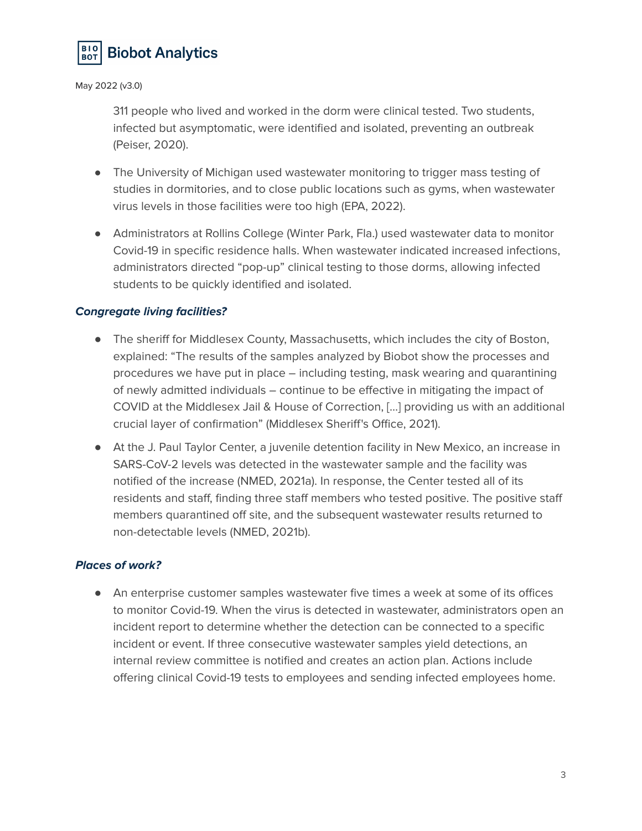

311 people who lived and worked in the dorm were clinical tested. Two students, infected but asymptomatic, were identified and isolated, preventing an outbreak (Peiser, 2020).

- The University of Michigan used wastewater monitoring to trigger mass testing of studies in dormitories, and to close public locations such as gyms, when wastewater virus levels in those facilities were too high (EPA, 2022).
- Administrators at Rollins College (Winter Park, Fla.) used wastewater data to monitor Covid-19 in specific residence halls. When wastewater indicated increased infections, administrators directed "pop-up" clinical testing to those dorms, allowing infected students to be quickly identified and isolated.

## **Congregate living facilities?**

- The sheriff for Middlesex County, Massachusetts, which includes the city of Boston, explained: "The results of the samples analyzed by Biobot show the processes and procedures we have put in place – including testing, mask wearing and quarantining of newly admitted individuals – continue to be effective in mitigating the impact of COVID at the Middlesex Jail & House of Correction, […] providing us with an additional crucial layer of confirmation" (Middlesex Sheriff's Office, 2021).
- At the J. Paul Taylor Center, a juvenile detention facility in New Mexico, an increase in SARS-CoV-2 levels was detected in the wastewater sample and the facility was notified of the increase (NMED, 2021a). In response, the Center tested all of its residents and staff, finding three staff members who tested positive. The positive staff members quarantined off site, and the subsequent wastewater results returned to non-detectable levels (NMED, 2021b).

## **Places of work?**

● An enterprise customer samples wastewater five times a week at some of its offices to monitor Covid-19. When the virus is detected in wastewater, administrators open an incident report to determine whether the detection can be connected to a specific incident or event. If three consecutive wastewater samples yield detections, an internal review committee is notified and creates an action plan. Actions include offering clinical Covid-19 tests to employees and sending infected employees home.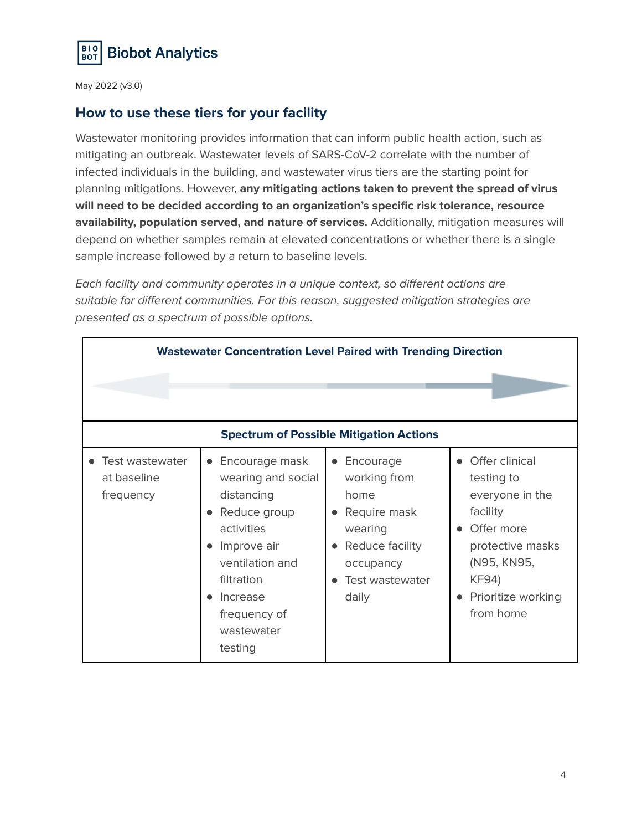

# **How to use these tiers for your facility**

Wastewater monitoring provides information that can inform public health action, such as mitigating an outbreak. Wastewater levels of SARS-CoV-2 correlate with the number of infected individuals in the building, and wastewater virus tiers are the starting point for planning mitigations. However, **any mitigating actions taken to prevent the spread of virus will need to be decided according to an organization's specific risk tolerance, resource availability, population served, and nature of services.** Additionally, mitigation measures will depend on whether samples remain at elevated concentrations or whether there is a single sample increase followed by a return to baseline levels.

Each facility and community operates in a unique context, so different actions are suitable for different communities. For this reason, suggested mitigation strategies are presented as a spectrum of possible options.

| <b>Wastewater Concentration Level Paired with Trending Direction</b> |                                                                                                                                                                                                                 |                                                                                                                            |                                                                                                                                                                   |  |  |
|----------------------------------------------------------------------|-----------------------------------------------------------------------------------------------------------------------------------------------------------------------------------------------------------------|----------------------------------------------------------------------------------------------------------------------------|-------------------------------------------------------------------------------------------------------------------------------------------------------------------|--|--|
|                                                                      |                                                                                                                                                                                                                 |                                                                                                                            |                                                                                                                                                                   |  |  |
| <b>Spectrum of Possible Mitigation Actions</b>                       |                                                                                                                                                                                                                 |                                                                                                                            |                                                                                                                                                                   |  |  |
| • Test wastewater<br>at baseline<br>frequency                        | Encourage mask<br>$\bullet$<br>wearing and social<br>distancing<br>Reduce group<br>$\bullet$<br>activities<br>Improve air<br>ventilation and<br>filtration<br>Increase<br>frequency of<br>wastewater<br>testing | • Encourage<br>working from<br>home<br>Require mask<br>wearing<br>Reduce facility<br>occupancy<br>Test wastewater<br>daily | • Offer clinical<br>testing to<br>everyone in the<br>facility<br>Offer more<br>protective masks<br>(N95, KN95,<br><b>KF94)</b><br>Prioritize working<br>from home |  |  |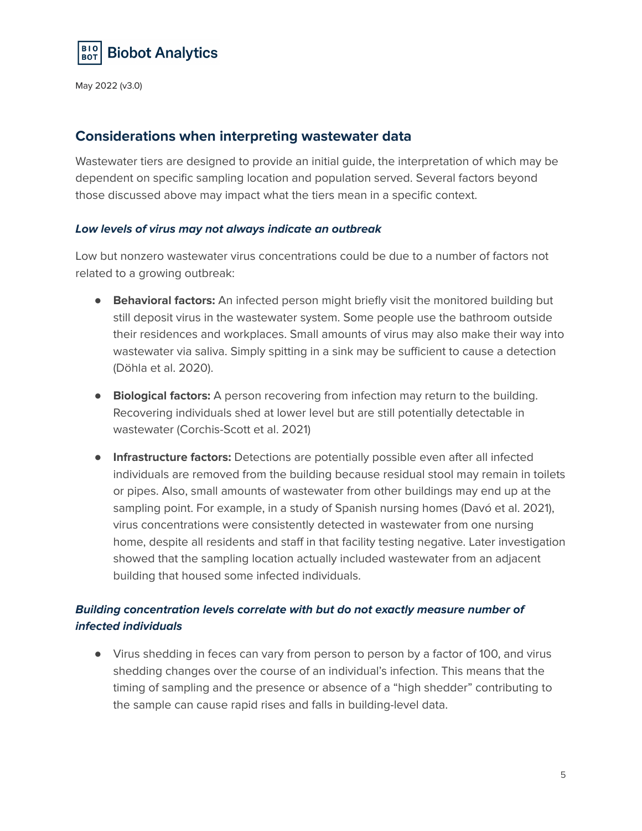

## **Considerations when interpreting wastewater data**

Wastewater tiers are designed to provide an initial guide, the interpretation of which may be dependent on specific sampling location and population served. Several factors beyond those discussed above may impact what the tiers mean in a specific context.

## **Low levels of virus may not always indicate an outbreak**

Low but nonzero wastewater virus concentrations could be due to a number of factors not related to a growing outbreak:

- **Behavioral factors:** An infected person might briefly visit the monitored building but still deposit virus in the wastewater system. Some people use the bathroom outside their residences and workplaces. Small amounts of virus may also make their way into wastewater via saliva. Simply spitting in a sink may be sufficient to cause a detection (Döhla et al. 2020).
- **Biological factors:** A person recovering from infection may return to the building. Recovering individuals shed at lower level but are still potentially detectable in wastewater (Corchis-Scott et al. 2021)
- **Infrastructure factors:** Detections are potentially possible even after all infected individuals are removed from the building because residual stool may remain in toilets or pipes. Also, small amounts of wastewater from other buildings may end up at the sampling point. For example, in a study of Spanish nursing homes (Davó et al. 2021), virus concentrations were consistently detected in wastewater from one nursing home, despite all residents and staff in that facility testing negative. Later investigation showed that the sampling location actually included wastewater from an adjacent building that housed some infected individuals.

# **Building concentration levels correlate with but do not exactly measure number of infected individuals**

● Virus shedding in feces can vary from person to person by a factor of 100, and virus shedding changes over the course of an individual's infection. This means that the timing of sampling and the presence or absence of a "high shedder" contributing to the sample can cause rapid rises and falls in building-level data.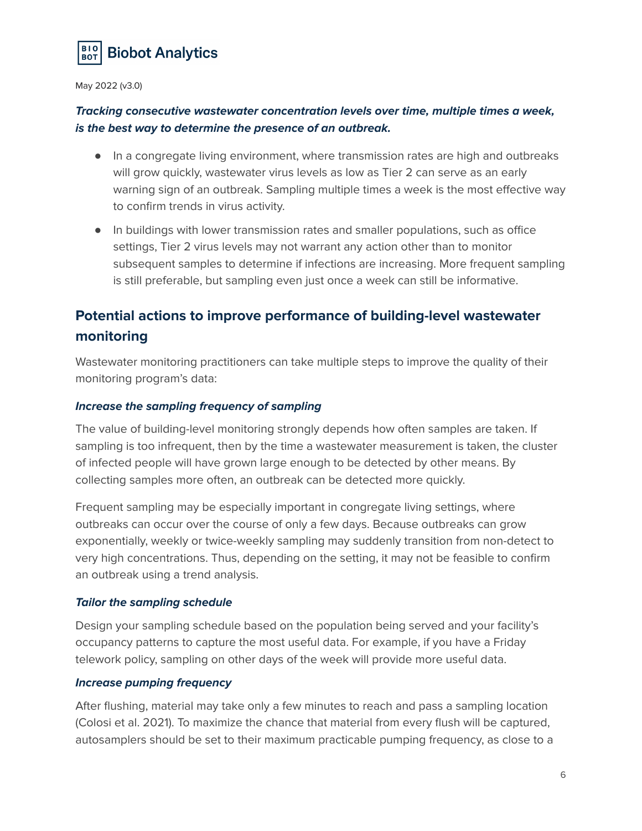

## **Tracking consecutive wastewater concentration levels over time, multiple times a week, is the best way to determine the presence of an outbreak.**

- In a congregate living environment, where transmission rates are high and outbreaks will grow quickly, wastewater virus levels as low as Tier 2 can serve as an early warning sign of an outbreak. Sampling multiple times a week is the most effective way to confirm trends in virus activity.
- In buildings with lower transmission rates and smaller populations, such as office settings, Tier 2 virus levels may not warrant any action other than to monitor subsequent samples to determine if infections are increasing. More frequent sampling is still preferable, but sampling even just once a week can still be informative.

# **Potential actions to improve performance of building-level wastewater monitoring**

Wastewater monitoring practitioners can take multiple steps to improve the quality of their monitoring program's data:

## **Increase the sampling frequency of sampling**

The value of building-level monitoring strongly depends how often samples are taken. If sampling is too infrequent, then by the time a wastewater measurement is taken, the cluster of infected people will have grown large enough to be detected by other means. By collecting samples more often, an outbreak can be detected more quickly.

Frequent sampling may be especially important in congregate living settings, where outbreaks can occur over the course of only a few days. Because outbreaks can grow exponentially, weekly or twice-weekly sampling may suddenly transition from non-detect to very high concentrations. Thus, depending on the setting, it may not be feasible to confirm an outbreak using a trend analysis.

## **Tailor the sampling schedule**

Design your sampling schedule based on the population being served and your facility's occupancy patterns to capture the most useful data. For example, if you have a Friday telework policy, sampling on other days of the week will provide more useful data.

#### **Increase pumping frequency**

After flushing, material may take only a few minutes to reach and pass a sampling location (Colosi et al. 2021). To maximize the chance that material from every flush will be captured, autosamplers should be set to their maximum practicable pumping frequency, as close to a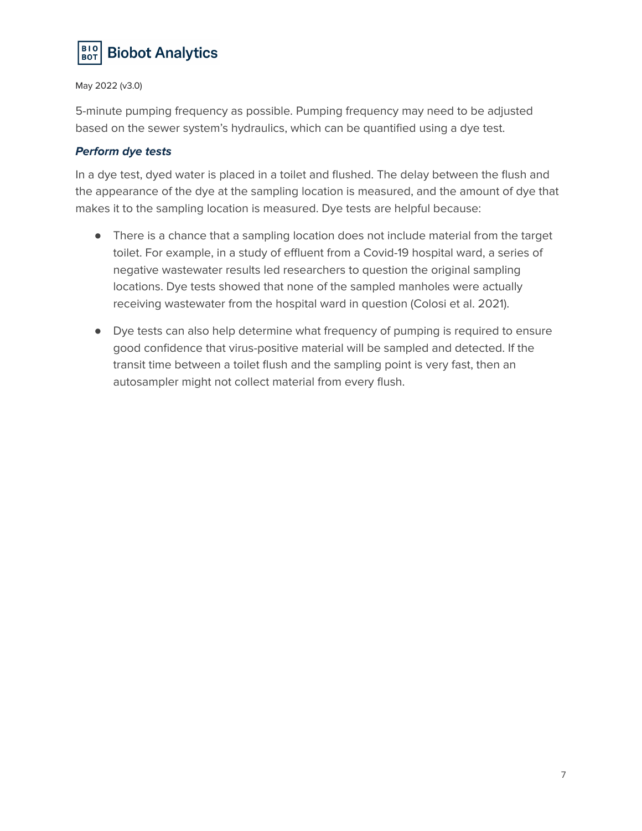

5-minute pumping frequency as possible. Pumping frequency may need to be adjusted based on the sewer system's hydraulics, which can be quantified using a dye test.

#### **Perform dye tests**

In a dye test, dyed water is placed in a toilet and flushed. The delay between the flush and the appearance of the dye at the sampling location is measured, and the amount of dye that makes it to the sampling location is measured. Dye tests are helpful because:

- There is a chance that a sampling location does not include material from the target toilet. For example, in a study of effluent from a Covid-19 hospital ward, a series of negative wastewater results led researchers to question the original sampling locations. Dye tests showed that none of the sampled manholes were actually receiving wastewater from the hospital ward in question (Colosi et al. 2021).
- Dye tests can also help determine what frequency of pumping is required to ensure good confidence that virus-positive material will be sampled and detected. If the transit time between a toilet flush and the sampling point is very fast, then an autosampler might not collect material from every flush.